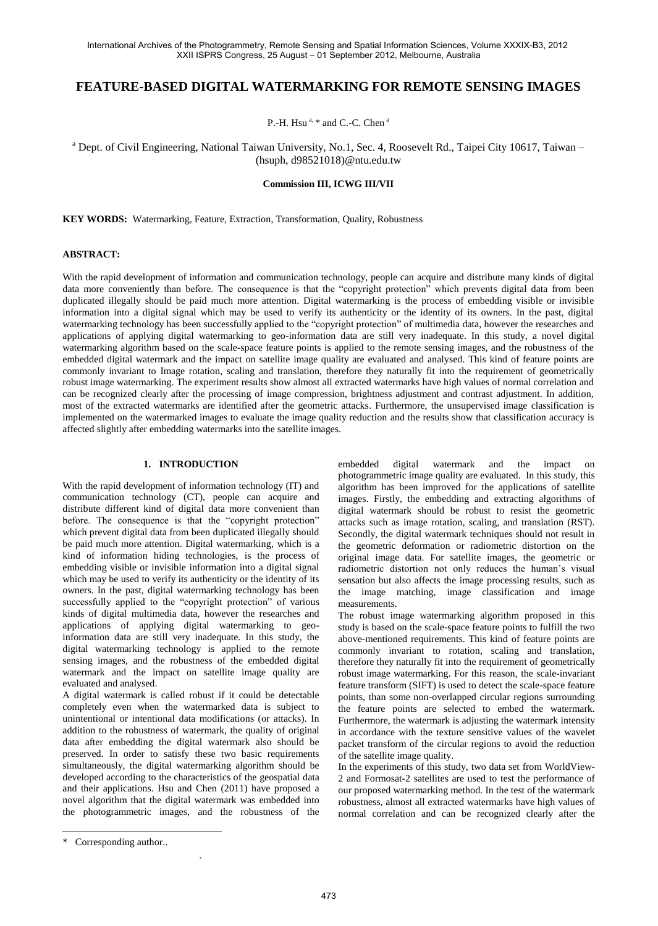# **FEATURE-BASED DIGITAL WATERMARKING FOR REMOTE SENSING IMAGES**

P.-H. Hsu<sup>a,  $*$ </sup> and C.-C. Chen<sup>a</sup>

<sup>a</sup> Dept. of Civil Engineering, National Taiwan University, No.1, Sec. 4, Roosevelt Rd., Taipei City 10617, Taiwan – (hsuph, d98521018)@ntu.edu.tw

#### **Commission III, ICWG III/VII**

**KEY WORDS:** Watermarking, Feature, Extraction, Transformation, Quality, Robustness

#### **ABSTRACT:**

With the rapid development of information and communication technology, people can acquire and distribute many kinds of digital data more conveniently than before. The consequence is that the "copyright protection" which prevents digital data from been duplicated illegally should be paid much more attention. Digital watermarking is the process of embedding visible or invisible information into a digital signal which may be used to verify its authenticity or the identity of its owners. In the past, digital watermarking technology has been successfully applied to the "copyright protection" of multimedia data, however the researches and applications of applying digital watermarking to geo-information data are still very inadequate. In this study, a novel digital watermarking algorithm based on the scale-space feature points is applied to the remote sensing images, and the robustness of the embedded digital watermark and the impact on satellite image quality are evaluated and analysed. This kind of feature points are commonly invariant to Image rotation, scaling and translation, therefore they naturally fit into the requirement of geometrically robust image watermarking. The experiment results show almost all extracted watermarks have high values of normal correlation and can be recognized clearly after the processing of image compression, brightness adjustment and contrast adjustment. In addition, most of the extracted watermarks are identified after the geometric attacks. Furthermore, the unsupervised image classification is implemented on the watermarked images to evaluate the image quality reduction and the results show that classification accuracy is affected slightly after embedding watermarks into the satellite images.

# **1. INTRODUCTION**

With the rapid development of information technology (IT) and communication technology (CT), people can acquire and distribute different kind of digital data more convenient than before. The consequence is that the "copyright protection" which prevent digital data from been duplicated illegally should be paid much more attention. Digital watermarking, which is a kind of information hiding technologies, is the process of embedding visible or invisible information into a digital signal which may be used to verify its authenticity or the identity of its owners. In the past, digital watermarking technology has been successfully applied to the "copyright protection" of various kinds of digital multimedia data, however the researches and applications of applying digital watermarking to geoinformation data are still very inadequate. In this study, the digital watermarking technology is applied to the remote sensing images, and the robustness of the embedded digital watermark and the impact on satellite image quality are evaluated and analysed.

A digital watermark is called robust if it could be detectable completely even when the watermarked data is subject to unintentional or intentional data modifications (or attacks). In addition to the robustness of watermark, the quality of original data after embedding the digital watermark also should be preserved. In order to satisfy these two basic requirements simultaneously, the digital watermarking algorithm should be developed according to the characteristics of the geospatial data and their applications. Hsu and Chen (2011) have proposed a novel algorithm that the digital watermark was embedded into the photogrammetric images, and the robustness of the

`

embedded digital watermark and the impact on photogrammetric image quality are evaluated. In this study, this algorithm has been improved for the applications of satellite images. Firstly, the embedding and extracting algorithms of digital watermark should be robust to resist the geometric attacks such as image rotation, scaling, and translation (RST). Secondly, the digital watermark techniques should not result in the geometric deformation or radiometric distortion on the original image data. For satellite images, the geometric or radiometric distortion not only reduces the human's visual sensation but also affects the image processing results, such as the image matching, image classification and image measurements.

The robust image watermarking algorithm proposed in this study is based on the scale-space feature points to fulfill the two above-mentioned requirements. This kind of feature points are commonly invariant to rotation, scaling and translation, therefore they naturally fit into the requirement of geometrically robust image watermarking. For this reason, the scale-invariant feature transform (SIFT) is used to detect the scale-space feature points, than some non-overlapped circular regions surrounding the feature points are selected to embed the watermark. Furthermore, the watermark is adjusting the watermark intensity in accordance with the texture sensitive values of the wavelet packet transform of the circular regions to avoid the reduction of the satellite image quality.

In the experiments of this study, two data set from WorldView-2 and Formosat-2 satellites are used to test the performance of our proposed watermarking method. In the test of the watermark robustness, almost all extracted watermarks have high values of normal correlation and can be recognized clearly after the

 $\overline{a}$ 

<sup>\*</sup> Corresponding author..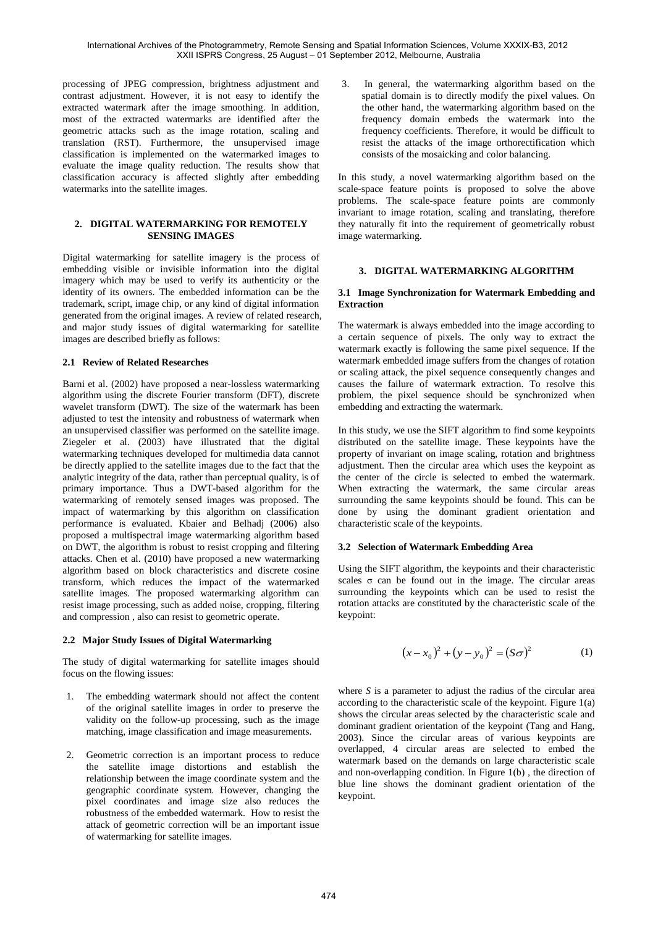processing of JPEG compression, brightness adjustment and contrast adjustment. However, it is not easy to identify the extracted watermark after the image smoothing. In addition, most of the extracted watermarks are identified after the geometric attacks such as the image rotation, scaling and translation (RST). Furthermore, the unsupervised image classification is implemented on the watermarked images to evaluate the image quality reduction. The results show that classification accuracy is affected slightly after embedding watermarks into the satellite images.

# **2. DIGITAL WATERMARKING FOR REMOTELY SENSING IMAGES**

Digital watermarking for satellite imagery is the process of embedding visible or invisible information into the digital imagery which may be used to verify its authenticity or the identity of its owners. The embedded information can be the trademark, script, image chip, or any kind of digital information generated from the original images. A review of related research, and major study issues of digital watermarking for satellite images are described briefly as follows:

# **2.1 Review of Related Researches**

Barni et al. (2002) have proposed a near-lossless watermarking algorithm using the discrete Fourier transform (DFT), discrete wavelet transform (DWT). The size of the watermark has been adjusted to test the intensity and robustness of watermark when an unsupervised classifier was performed on the satellite image. Ziegeler et al. (2003) have illustrated that the digital watermarking techniques developed for multimedia data cannot be directly applied to the satellite images due to the fact that the analytic integrity of the data, rather than perceptual quality, is of primary importance. Thus a DWT-based algorithm for the watermarking of remotely sensed images was proposed. The impact of watermarking by this algorithm on classification performance is evaluated. Kbaier and Belhadj (2006) also proposed a multispectral image watermarking algorithm based on DWT, the algorithm is robust to resist cropping and filtering attacks. Chen et al. (2010) have proposed a new watermarking algorithm based on block characteristics and discrete cosine transform, which reduces the impact of the watermarked satellite images. The proposed watermarking algorithm can resist image processing, such as added noise, cropping, filtering and compression , also can resist to geometric operate.

# **2.2 Major Study Issues of Digital Watermarking**

The study of digital watermarking for satellite images should focus on the flowing issues:

- 1. The embedding watermark should not affect the content of the original satellite images in order to preserve the validity on the follow-up processing, such as the image matching, image classification and image measurements.
- 2. Geometric correction is an important process to reduce the satellite image distortions and establish the relationship between the image coordinate system and the geographic coordinate system. However, changing the pixel coordinates and image size also reduces the robustness of the embedded watermark. How to resist the attack of geometric correction will be an important issue of watermarking for satellite images.

3. In general, the watermarking algorithm based on the spatial domain is to directly modify the pixel values. On the other hand, the watermarking algorithm based on the frequency domain embeds the watermark into the frequency coefficients. Therefore, it would be difficult to resist the attacks of the image orthorectification which consists of the mosaicking and color balancing.

In this study, a novel watermarking algorithm based on the scale-space feature points is proposed to solve the above problems. The scale-space feature points are commonly invariant to image rotation, scaling and translating, therefore they naturally fit into the requirement of geometrically robust image watermarking.

# **3. DIGITAL WATERMARKING ALGORITHM**

### **3.1 Image Synchronization for Watermark Embedding and Extraction**

The watermark is always embedded into the image according to a certain sequence of pixels. The only way to extract the watermark exactly is following the same pixel sequence. If the watermark embedded image suffers from the changes of rotation or scaling attack, the pixel sequence consequently changes and causes the failure of watermark extraction. To resolve this problem, the pixel sequence should be synchronized when embedding and extracting the watermark.

In this study, we use the SIFT algorithm to find some keypoints distributed on the satellite image. These keypoints have the property of invariant on image scaling, rotation and brightness adjustment. Then the circular area which uses the keypoint as the center of the circle is selected to embed the watermark. When extracting the watermark, the same circular areas surrounding the same keypoints should be found. This can be done by using the dominant gradient orientation and characteristic scale of the keypoints.

# **3.2 Selection of Watermark Embedding Area**

Using the SIFT algorithm, the keypoints and their characteristic scales  $\sigma$  can be found out in the image. The circular areas surrounding the keypoints which can be used to resist the rotation attacks are constituted by the characteristic scale of the keypoint:

$$
(x - x0)2 + (y - y0)2 = (S\sigma)2
$$
 (1)

where *S* is a parameter to adjust the radius of the circular area according to the characteristic scale of the keypoint. Figure 1(a) shows the circular areas selected by the characteristic scale and dominant gradient orientation of the keypoint (Tang and Hang, 2003). Since the circular areas of various keypoints are overlapped, 4 circular areas are selected to embed the watermark based on the demands on large characteristic scale and non-overlapping condition. In Figure 1(b) , the direction of blue line shows the dominant gradient orientation of the keypoint.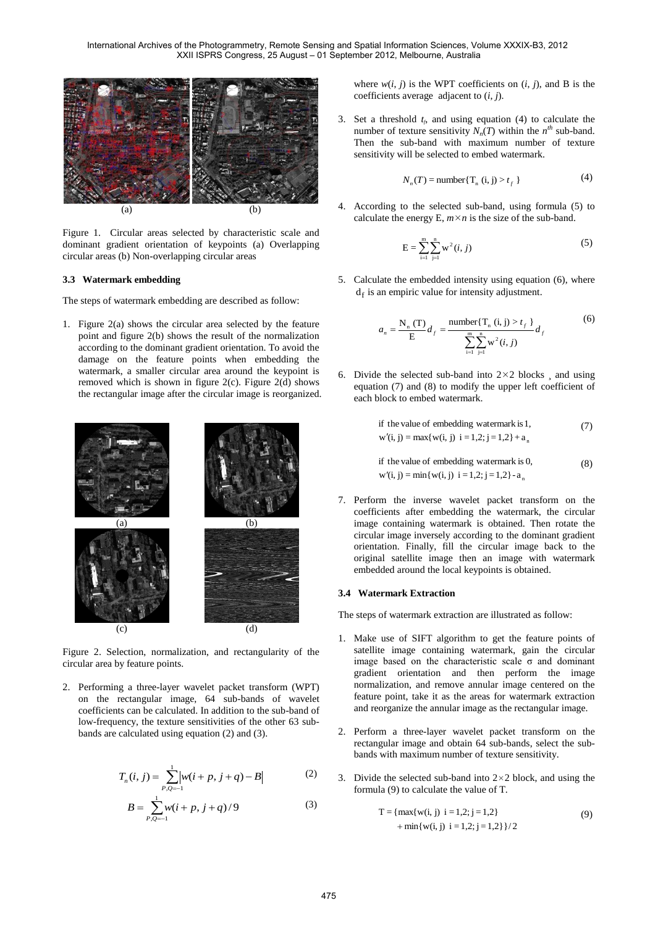International Archives of the Photogrammetry, Remote Sensing and Spatial Information Sciences, Volume XXXIX-B3, 2012 XXII ISPRS Congress, 25 August – 01 September 2012, Melbourne, Australia



Figure 1. Circular areas selected by characteristic scale and dominant gradient orientation of keypoints (a) Overlapping circular areas (b) Non-overlapping circular areas

### **3.3 Watermark embedding**

The steps of watermark embedding are described as follow:

1. Figure 2(a) shows the circular area selected by the feature point and figure 2(b) shows the result of the normalization according to the dominant gradient orientation. To avoid the damage on the feature points when embedding the watermark, a smaller circular area around the keypoint is removed which is shown in figure 2(c). Figure 2(d) shows the rectangular image after the circular image is reorganized.



Figure 2. Selection, normalization, and rectangularity of the circular area by feature points.

2. Performing a three-layer wavelet packet transform (WPT) on the rectangular image, 64 sub-bands of wavelet coefficients can be calculated. In addition to the sub-band of low-frequency, the texture sensitivities of the other 63 subbands are calculated using equation (2) and (3).

$$
T_n(i,j) = \sum_{p,q=-1}^{1} \left| w(i+p, j+q) - B \right| \tag{2}
$$

$$
B = \sum_{P,Q=-1}^{1} w(i+p, j+q)/9
$$
 (3)

where  $w(i, j)$  is the WPT coefficients on  $(i, j)$ , and B is the coefficients average adjacent to (*i*, *j*).

3. Set a threshold  $t_f$ , and using equation (4) to calculate the number of texture sensitivity  $N_n(T)$  within the  $n^{th}$  sub-band. Then the sub-band with maximum number of texture sensitivity will be selected to embed watermark.

$$
N_n(T) = \text{number}\{\mathbf{T}_n \ (\mathbf{i}, \mathbf{j}) > t_f\} \tag{4}
$$

4. According to the selected sub-band, using formula (5) to calculate the energy E,  $m \times n$  is the size of the sub-band.

$$
E = \sum_{i=1}^{m} \sum_{j=1}^{n} w^2(i, j)
$$
 (5)

5. Calculate the embedded intensity using equation (6), where  $d_f$  is an empiric value for intensity adjustment.

$$
a_n = \frac{N_n(T)}{E} d_f = \frac{\text{number}\{T_n(i,j) > t_f\}}{\sum_{i=1}^{m} \sum_{j=1}^{n} w^2(i,j)} d_f
$$
 (6)

6. Divide the selected sub-band into  $2 \times 2$  blocks  $\Box$  and using equation (7) and (8) to modify the upper left coefficient of each block to embed watermark.

if the value of embedding watermark is 1,  
\n
$$
w'(i, j) = max{w(i, j) i = 1, 2; j = 1, 2} + a_n
$$
\n(7)

 $w'(i, j) = min\{w(i, j) \mid i = 1, 2; j = 1, 2\} - a_n$ if the value of embedding watermark is 0, (8)

7. Perform the inverse wavelet packet transform on the coefficients after embedding the watermark, the circular image containing watermark is obtained. Then rotate the circular image inversely according to the dominant gradient orientation. Finally, fill the circular image back to the original satellite image then an image with watermark embedded around the local keypoints is obtained.

### **3.4 Watermark Extraction**

The steps of watermark extraction are illustrated as follow:

- 1. Make use of SIFT algorithm to get the feature points of satellite image containing watermark, gain the circular image based on the characteristic scale  $\sigma$  and dominant gradient orientation and then perform the image normalization, and remove annular image centered on the feature point, take it as the areas for watermark extraction and reorganize the annular image as the rectangular image.
- 2. Perform a three-layer wavelet packet transform on the rectangular image and obtain 64 sub-bands, select the subbands with maximum number of texture sensitivity.
- 3. Divide the selected sub-band into  $2 \times 2$  block, and using the formula (9) to calculate the value of T.

$$
T = \{ \max\{w(i, j) \mid i = 1, 2; j = 1, 2\} \}
$$
  
+ min{w(i, j) i = 1, 2; j = 1, 2}}/2 (9)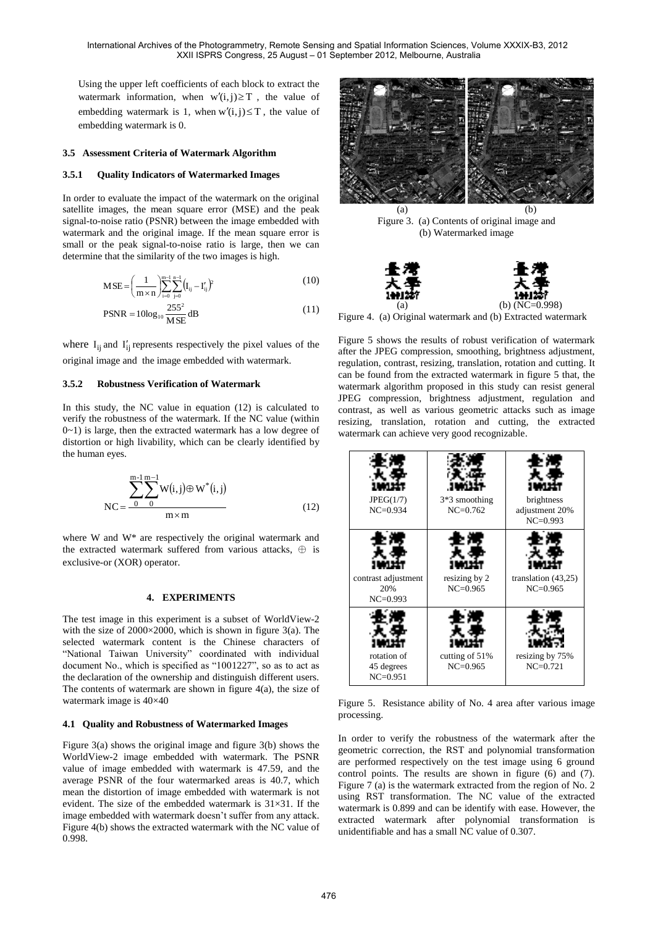Using the upper left coefficients of each block to extract the watermark information, when  $w'(i, j) \geq T$ , the value of embedding watermark is 1, when  $w'(i, j) \leq T$ , the value of embedding watermark is 0.

#### **3.5 Assessment Criteria of Watermark Algorithm**

#### **3.5.1 Quality Indicators of Watermarked Images**

In order to evaluate the impact of the watermark on the original satellite images, the mean square error (MSE) and the peak signal-to-noise ratio (PSNR) between the image embedded with watermark and the original image. If the mean square error is small or the peak signal-to-noise ratio is large, then we can determine that the similarity of the two images is high.

$$
MSE = \left(\frac{1}{m \times n}\right) \sum_{i=0}^{m-1} \sum_{j=0}^{n-1} (I_{ij} - I'_{ij})^2
$$
 (10)

$$
PSNR = 10\log_{10}\frac{255^2}{MSE}dB
$$
\n(11)

where  $I_{ij}$  and  $I'_{ij}$  represents respectively the pixel values of the original image and the image embedded with watermark.

### **3.5.2 Robustness Verification of Watermark**

In this study, the NC value in equation (12) is calculated to verify the robustness of the watermark. If the NC value (within 0~1) is large, then the extracted watermark has a low degree of distortion or high livability, which can be clearly identified by the human eyes.

$$
NC = \frac{\sum_{0}^{m-1} \sum_{i=0}^{m-1} W(i,j) \oplus W^{*}(i,j)}{m \times m}
$$
 (12)

where W and W\* are respectively the original watermark and the extracted watermark suffered from various attacks,  $\oplus$  is exclusive-or (XOR) operator.

### **4. EXPERIMENTS**

The test image in this experiment is a subset of WorldView-2 with the size of  $2000 \times 2000$ , which is shown in figure 3(a). The selected watermark content is the Chinese characters of "National Taiwan University" coordinated with individual document No., which is specified as "1001227", so as to act as the declaration of the ownership and distinguish different users. The contents of watermark are shown in figure  $4(a)$ , the size of watermark image is 40×40

#### **4.1 Quality and Robustness of Watermarked Images**

Figure 3(a) shows the original image and figure 3(b) shows the WorldView-2 image embedded with watermark. The PSNR value of image embedded with watermark is 47.59, and the average PSNR of the four watermarked areas is 40.7, which mean the distortion of image embedded with watermark is not evident. The size of the embedded watermark is 31×31. If the image embedded with watermark doesn't suffer from any attack. Figure 4(b) shows the extracted watermark with the NC value of 0.998.



 $(a)$  (b) Figure 3. (a) Contents of original image and (b) Watermarked image





Figure 4. (a) Original watermark and (b) Extracted watermark

Figure 5 shows the results of robust verification of watermark after the JPEG compression, smoothing, brightness adjustment, regulation, contrast, resizing, translation, rotation and cutting. It can be found from the extracted watermark in figure 5 that, the watermark algorithm proposed in this study can resist general JPEG compression, brightness adjustment, regulation and contrast, as well as various geometric attacks such as image resizing, translation, rotation and cutting, the extracted watermark can achieve very good recognizable.

| JPEG(1/7)<br>$NC = 0.934$                  | $3*3$ smoothing<br>$NC = 0.762$ | brightness<br>adjustment 20%<br>$NC = 0.993$ |
|--------------------------------------------|---------------------------------|----------------------------------------------|
| contrast adjustment<br>20%<br>$NC = 0.993$ | resizing by 2<br>$NC = 0.965$   | translation $(43,25)$<br>$NC = 0.965$        |
| rotation of<br>45 degrees<br>$NC = 0.951$  | cutting of 51%<br>$NC = 0.965$  | resizing by 75%<br>$NC = 0.721$              |

Figure 5. Resistance ability of No. 4 area after various image processing.

In order to verify the robustness of the watermark after the geometric correction, the RST and polynomial transformation are performed respectively on the test image using 6 ground control points. The results are shown in figure (6) and (7). Figure 7 (a) is the watermark extracted from the region of No. 2 using RST transformation. The NC value of the extracted watermark is 0.899 and can be identify with ease. However, the extracted watermark after polynomial transformation is unidentifiable and has a small NC value of 0.307.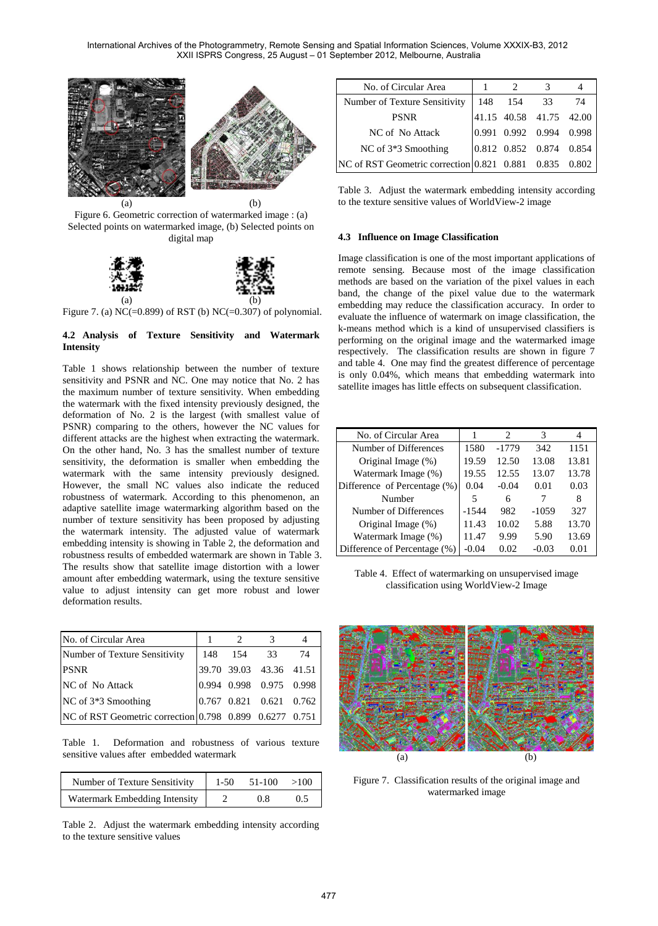International Archives of the Photogrammetry, Remote Sensing and Spatial Information Sciences, Volume XXXIX-B3, 2012 XXII ISPRS Congress, 25 August – 01 September 2012, Melbourne, Australia



Figure 6. Geometric correction of watermarked image : (a) Selected points on watermarked image, (b) Selected points on digital map



Figure 7. (a) NC(=0.899) of RST (b) NC(=0.307) of polynomial.

# **4.2 Analysis of Texture Sensitivity and Watermark Intensity**

Table 1 shows relationship between the number of texture sensitivity and PSNR and NC. One may notice that No. 2 has the maximum number of texture sensitivity. When embedding the watermark with the fixed intensity previously designed, the deformation of No. 2 is the largest (with smallest value of PSNR) comparing to the others, however the NC values for different attacks are the highest when extracting the watermark. On the other hand, No. 3 has the smallest number of texture sensitivity, the deformation is smaller when embedding the watermark with the same intensity previously designed. However, the small NC values also indicate the reduced robustness of watermark. According to this phenomenon, an adaptive satellite image watermarking algorithm based on the number of texture sensitivity has been proposed by adjusting the watermark intensity. The adjusted value of watermark embedding intensity is showing in Table 2, the deformation and robustness results of embedded watermark are shown in Table 3. The results show that satellite image distortion with a lower amount after embedding watermark, using the texture sensitive value to adjust intensity can get more robust and lower deformation results.

| No. of Circular Area                                    |         |                         |    |
|---------------------------------------------------------|---------|-------------------------|----|
| Number of Texture Sensitivity                           | 148 154 | - 33                    | 74 |
| <b>PSNR</b>                                             |         | 39.70 39.03 43.36 41.51 |    |
| NC of No Attack                                         |         | 0.994 0.998 0.975 0.998 |    |
| $NC$ of $3*3$ Smoothing                                 |         | 0.767 0.821 0.621 0.762 |    |
| NC of RST Geometric correction 0.798 0.899 0.6277 0.751 |         |                         |    |

Table 1. Deformation and robustness of various texture sensitive values after embedded watermark

| Number of Texture Sensitivity | $1 - 50$ | 51-100 | >100  |
|-------------------------------|----------|--------|-------|
| Watermark Embedding Intensity |          | 0.8    | (1.5) |

Table 2. Adjust the watermark embedding intensity according to the texture sensitive values

| No. of Circular Area                             |     |                                   |      |       |
|--------------------------------------------------|-----|-----------------------------------|------|-------|
| Number of Texture Sensitivity                    | 148 | - 154                             | - 33 | 74    |
| <b>PSNR</b>                                      |     | 41.15 40.58 41.75                 |      | 42.00 |
| NC of No Attack                                  |     | $[0.991 \quad 0.992 \quad 0.994]$ |      | 0.998 |
| NC of 3*3 Smoothing                              |     | 0.812 0.852 0.874                 |      | 0.854 |
| NC of RST Geometric correction 0.821 0.881 0.835 |     |                                   |      |       |

Table 3. Adjust the watermark embedding intensity according to the texture sensitive values of WorldView-2 image

#### **4.3 Influence on Image Classification**

Image classification is one of the most important applications of remote sensing. Because most of the image classification methods are based on the variation of the pixel values in each band, the change of the pixel value due to the watermark embedding may reduce the classification accuracy. In order to evaluate the influence of watermark on image classification, the k-means method which is a kind of unsupervised classifiers is performing on the original image and the watermarked image respectively. The classification results are shown in figure 7 and table 4. One may find the greatest difference of percentage is only 0.04%, which means that embedding watermark into satellite images has little effects on subsequent classification.

| No. of Circular Area         |         | $\mathcal{D}_{\mathcal{L}}$ |         |       |
|------------------------------|---------|-----------------------------|---------|-------|
| Number of Differences        | 1580    | -1779                       | 342     | 1151  |
| Original Image (%)           | 19.59   | 12.50                       | 13.08   | 13.81 |
| Watermark Image (%)          | 19.55   | 12.55                       | 13.07   | 13.78 |
| Difference of Percentage (%) | 0.04    | $-0.04$                     | 0.01    | 0.03  |
| Number                       | 5       | 6                           |         | 8     |
| Number of Differences        | $-1544$ | 982                         | $-1059$ | 327   |
| Original Image (%)           | 11.43   | 10.02                       | 5.88    | 13.70 |
| Watermark Image (%)          | 11.47   | 9.99                        | 5.90    | 13.69 |
| Difference of Percentage (%) | $-0.04$ | 0.02                        | -0.03   | 0.01  |

Table 4. Effect of watermarking on unsupervised image classification using WorldView-2 Image



Figure 7. Classification results of the original image and watermarked image